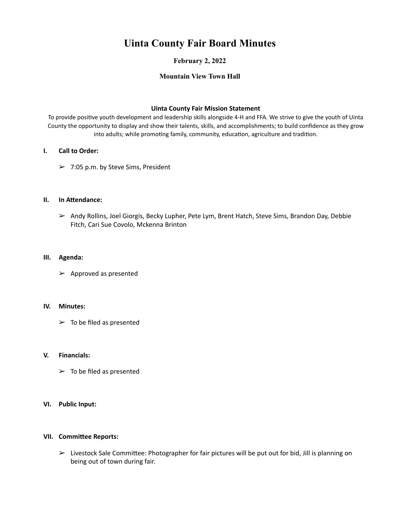# **Uinta County Fair Board Minutes**

# **February 2, 2022**

# **Mountain View Town Hall**

#### **Uinta County Fair Mission Statement**

To provide positive youth development and leadership skills alongside 4-H and FFA. We strive to give the youth of Uinta County the opportunity to display and show their talents, skills, and accomplishments; to build confidence as they grow into adults; while promoting family, community, education, agriculture and tradition.

## **I.** Call to Order:

 $> 7:05$  p.m. by Steve Sims, President

## **II. In Attendance:**

 $\triangleright$  Andy Rollins, Joel Giorgis, Becky Lupher, Pete Lym, Brent Hatch, Steve Sims, Brandon Day, Debbie Fitch, Cari Sue Covolo, Mckenna Brinton

## **III. Agenda:**

 $\triangleright$  Approved as presented

#### **IV. Minutes:**

 $\triangleright$  To be filed as presented

#### **V. Financials:**

 $\triangleright$  To be filed as presented

#### **VI. Public Input:**

#### **VII. Committee Reports:**

 $\triangleright$  Livestock Sale Committee: Photographer for fair pictures will be put out for bid, Jill is planning on being out of town during fair.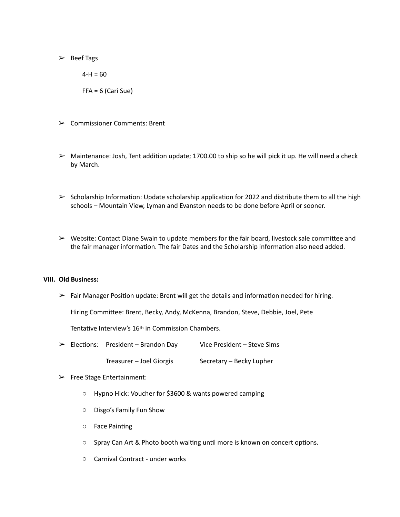$\geq$  Beef Tags

 $4-H = 60$  $FFA = 6$  (Cari Sue)

- $\geq$  Commissioner Comments: Brent
- $\triangleright$  Maintenance: Josh, Tent addition update; 1700.00 to ship so he will pick it up. He will need a check by March.
- $\triangleright$  Scholarship Information: Update scholarship application for 2022 and distribute them to all the high schools – Mountain View, Lyman and Evanston needs to be done before April or sooner.
- $\triangleright$  Website: Contact Diane Swain to update members for the fair board, livestock sale committee and the fair manager information. The fair Dates and the Scholarship information also need added.

#### **VIII. Old Business:**

 $\triangleright$  Fair Manager Position update: Brent will get the details and information needed for hiring.

Hiring Committee: Brent, Becky, Andy, McKenna, Brandon, Steve, Debbie, Joel, Pete

Tentative Interview's 16<sup>th</sup> in Commission Chambers.

- $\triangleright$  Elections: President Brandon Day Vice President Steve Sims
	- Treasurer Joel Giorgis Secretary Becky Lupher
- $\triangleright$  Free Stage Entertainment:
	- $\circ$  Hypno Hick: Voucher for \$3600 & wants powered camping
	- $\circ$  Disgo's Family Fun Show
	- o Face Painting
	- $\circ$  Spray Can Art & Photo booth waiting until more is known on concert options.
	- $\circ$  Carnival Contract under works